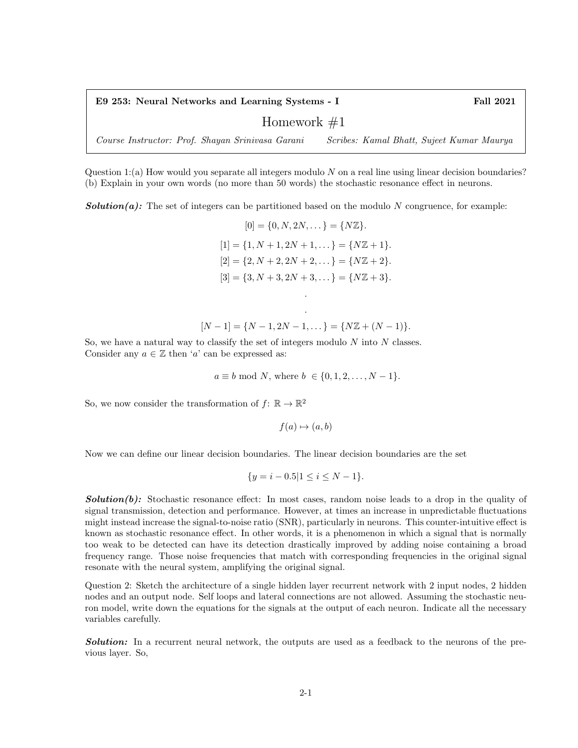E9 253: Neural Networks and Learning Systems - I Fall 2021

## Homework  $#1$

Course Instructor: Prof. Shayan Srinivasa Garani Scribes: Kamal Bhatt, Sujeet Kumar Maurya

Question 1:(a) How would you separate all integers modulo N on a real line using linear decision boundaries? (b) Explain in your own words (no more than 50 words) the stochastic resonance effect in neurons.

**Solution(a):** The set of integers can be partitioned based on the modulo N congruence, for example:

$$
[0] = \{0, N, 2N, \dots\} = \{N\mathbb{Z}\}.
$$
  
\n
$$
[1] = \{1, N+1, 2N+1, \dots\} = \{N\mathbb{Z} + 1\}.
$$
  
\n
$$
[2] = \{2, N+2, 2N+2, \dots\} = \{N\mathbb{Z} + 2\}.
$$
  
\n
$$
[3] = \{3, N+3, 2N+3, \dots\} = \{N\mathbb{Z} + 3\}.
$$

$$
[N-1] = \{N-1, 2N-1, \dots\} = \{N\mathbb{Z} + (N-1)\}.
$$

.

So, we have a natural way to classify the set of integers modulo  $N$  into  $N$  classes. Consider any  $a \in \mathbb{Z}$  then 'a' can be expressed as:

 $a \equiv b \mod N$ , where  $b \in \{0, 1, 2, ..., N - 1\}$ .

So, we now consider the transformation of  $f: \mathbb{R} \to \mathbb{R}^2$ 

 $f(a) \mapsto (a, b)$ 

Now we can define our linear decision boundaries. The linear decision boundaries are the set

$$
\{y = i - 0.5 | 1 \le i \le N - 1\}.
$$

**Solution(b):** Stochastic resonance effect: In most cases, random noise leads to a drop in the quality of signal transmission, detection and performance. However, at times an increase in unpredictable fluctuations might instead increase the signal-to-noise ratio (SNR), particularly in neurons. This counter-intuitive effect is known as stochastic resonance effect. In other words, it is a phenomenon in which a signal that is normally too weak to be detected can have its detection drastically improved by adding noise containing a broad frequency range. Those noise frequencies that match with corresponding frequencies in the original signal resonate with the neural system, amplifying the original signal.

Question 2: Sketch the architecture of a single hidden layer recurrent network with 2 input nodes, 2 hidden nodes and an output node. Self loops and lateral connections are not allowed. Assuming the stochastic neuron model, write down the equations for the signals at the output of each neuron. Indicate all the necessary variables carefully.

**Solution:** In a recurrent neural network, the outputs are used as a feedback to the neurons of the previous layer. So,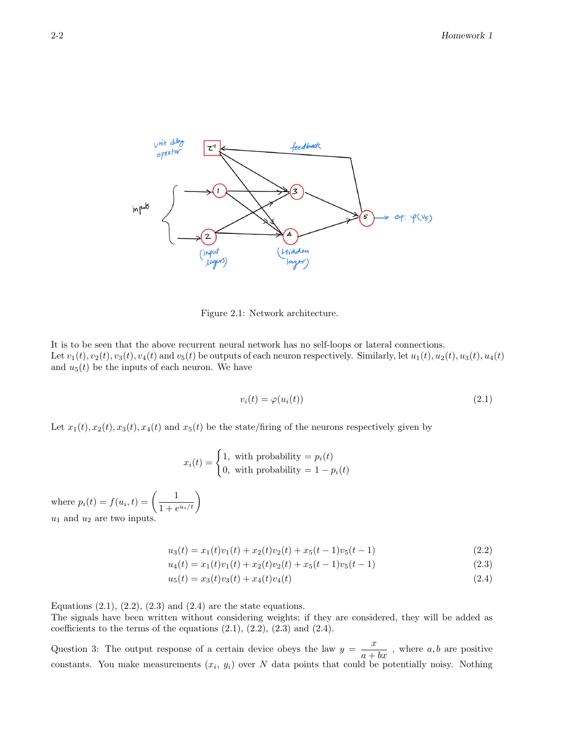

Figure 2.1: Network architecture.

It is to be seen that the above recurrent neural network has no self-loops or lateral connections. Let  $v_1(t), v_2(t), v_3(t), v_4(t)$  and  $v_5(t)$  be outputs of each neuron respectively. Similarly, let  $u_1(t), u_2(t), u_3(t), u_4(t)$ and  $u_5(t)$  be the inputs of each neuron. We have

$$
v_i(t) = \varphi(u_i(t))
$$
\n(2.1)

Let  $x_1(t), x_2(t), x_3(t), x_4(t)$  and  $x_5(t)$  be the state/firing of the neurons respectively given by

$$
x_i(t) = \begin{cases} 1, & \text{with probability } = p_i(t) \\ 0, & \text{with probability } = 1 - p_i(t) \end{cases}
$$

where  $p_i(t) = f(u_i, t) = \left(\frac{1}{1+t_i}\right)$  $\frac{1}{1+e^{u_i/t}}\bigg)$  $u_1$  and  $u_2$  are two inputs.

$$
u_3(t) = x_1(t)v_1(t) + x_2(t)v_2(t) + x_5(t-1)v_5(t-1)
$$
\n(2.2)

$$
u_4(t) = x_1(t)v_1(t) + x_2(t)v_2(t) + x_5(t-1)v_5(t-1)
$$
\n(2.3)

$$
u_5(t) = x_3(t)v_3(t) + x_4(t)v_4(t)
$$
\n(2.4)

Equations  $(2.1)$ ,  $(2.2)$ ,  $(2.3)$  and  $(2.4)$  are the state equations.

The signals have been written without considering weights; if they are considered, they will be added as coefficients to the terms of the equations  $(2.1)$ ,  $(2.2)$ ,  $(2.3)$  and  $(2.4)$ .

Question 3: The output response of a certain device obeys the law  $y = \frac{x}{a + bx}$ , where  $a, b$  are positive constants. You make measurements  $(x_i, y_i)$  over N data points that could be potentially noisy. Nothing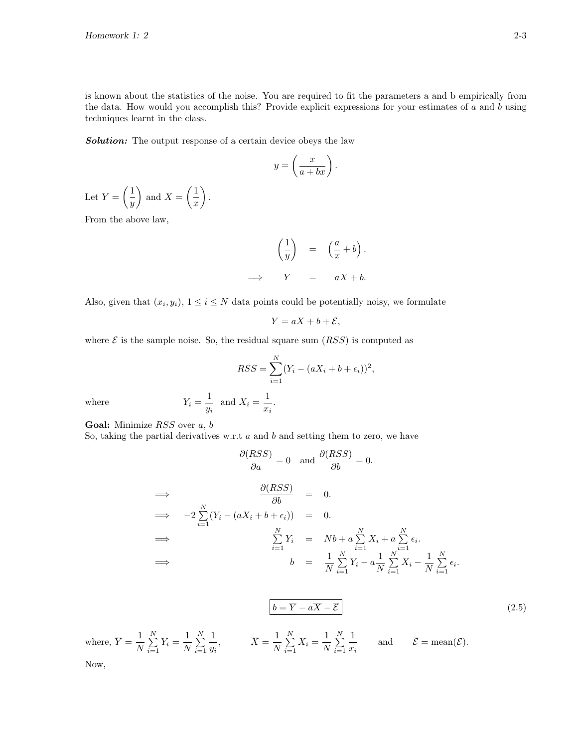is known about the statistics of the noise. You are required to fit the parameters a and b empirically from the data. How would you accomplish this? Provide explicit expressions for your estimates of  $a$  and  $b$  using techniques learnt in the class.

Solution: The output response of a certain device obeys the law

$$
y = \left(\frac{x}{a+bx}\right).
$$

Let  $Y = \begin{pmatrix} 1 \\ -1 \end{pmatrix}$  $\hat{y}$ ) and  $X = \left(\frac{1}{1}\right)$  $\boldsymbol{x}$  $\big)$  .

From the above law,

$$
\left(\frac{1}{y}\right) = \left(\frac{a}{x} + b\right).
$$
  
\n
$$
\implies Y = aX + b.
$$

Also, given that  $(x_i, y_i)$ ,  $1 \leq i \leq N$  data points could be potentially noisy, we formulate

$$
Y = aX + b + \mathcal{E},
$$

where  $\mathcal E$  is the sample noise. So, the residual square sum  $(RSS)$  is computed as

$$
RSS = \sum_{i=1}^{N} (Y_i - (aX_i + b + \epsilon_i))^2,
$$
  

$$
\frac{1}{y_i} \text{ and } X_i = \frac{1}{x_i}.
$$

where  $Y_i = \frac{1}{i}$ 

Goal: Minimize RSS over a, b

So, taking the partial derivatives w.r.t  $a$  and  $b$  and setting them to zero, we have

$$
\frac{\partial(RSS)}{\partial a} = 0 \text{ and } \frac{\partial(RSS)}{\partial b} = 0.
$$
  
\n
$$
\implies -2\sum_{i=1}^{N} (Y_i - (aX_i + b + \epsilon_i)) = 0.
$$
  
\n
$$
\implies \sum_{i=1}^{N} Y_i = Nb + a\sum_{i=1}^{N} X_i + a\sum_{i=1}^{N} \epsilon_i.
$$
  
\n
$$
\implies b = \frac{1}{N} \sum_{i=1}^{N} Y_i - a\frac{1}{N} \sum_{i=1}^{N} X_i - \frac{1}{N} \sum_{i=1}^{N} \epsilon_i.
$$

$$
\boxed{b = \overline{Y} - a\overline{X} - \overline{\mathcal{E}}}
$$
\nwhere,  $\overline{Y} = \frac{1}{N} \sum_{i=1}^{N} Y_i = \frac{1}{N} \sum_{i=1}^{N} \frac{1}{y_i}$ ,  $\overline{X} = \frac{1}{N} \sum_{i=1}^{N} X_i = \frac{1}{N} \sum_{i=1}^{N} \frac{1}{x_i}$  and  $\overline{\mathcal{E}} = \text{mean}(\mathcal{E}).$  (2.5)

Now,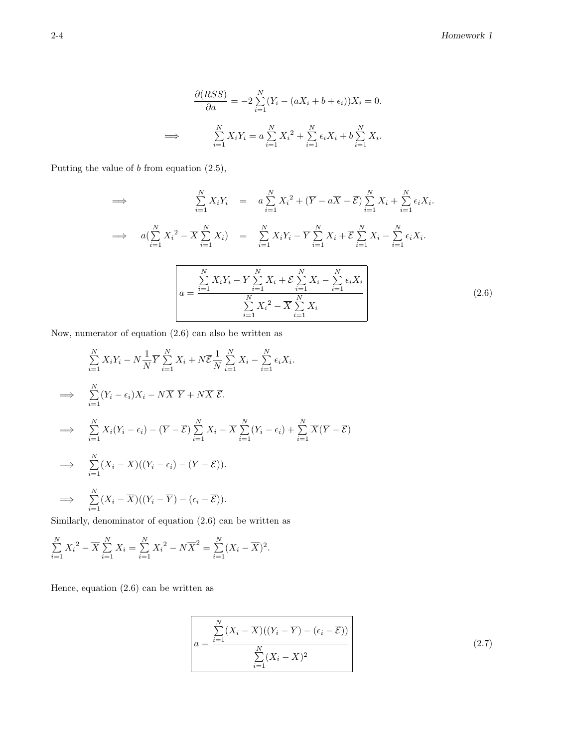$$
\frac{\partial (RSS)}{\partial a} = -2 \sum_{i=1}^{N} (Y_i - (aX_i + b + \epsilon_i))X_i = 0.
$$
  

$$
\implies \sum_{i=1}^{N} X_i Y_i = a \sum_{i=1}^{N} X_i^2 + \sum_{i=1}^{N} \epsilon_i X_i + b \sum_{i=1}^{N} X_i.
$$

Putting the value of b from equation (2.5),

$$
\Rightarrow \sum_{i=1}^{N} X_i Y_i = a \sum_{i=1}^{N} X_i^2 + (\overline{Y} - a \overline{X} - \overline{\mathcal{E}}) \sum_{i=1}^{N} X_i + \sum_{i=1}^{N} \epsilon_i X_i.
$$
  

$$
\Rightarrow a(\sum_{i=1}^{N} X_i^2 - \overline{X} \sum_{i=1}^{N} X_i) = \sum_{i=1}^{N} X_i Y_i - \overline{Y} \sum_{i=1}^{N} X_i + \overline{\mathcal{E}} \sum_{i=1}^{N} X_i - \sum_{i=1}^{N} \epsilon_i X_i.
$$
  

$$
a = \frac{\sum_{i=1}^{N} X_i Y_i - \overline{Y} \sum_{i=1}^{N} X_i + \overline{\mathcal{E}} \sum_{i=1}^{N} X_i - \sum_{i=1}^{N} \epsilon_i X_i}{\sum_{i=1}^{N} X_i^2 - \overline{X} \sum_{i=1}^{N} X_i} \tag{2.6}
$$

Now, numerator of equation (2.6) can also be written as

$$
\sum_{i=1}^{N} X_i Y_i - N \frac{1}{N} \overline{Y} \sum_{i=1}^{N} X_i + N \overline{\mathcal{E}} \frac{1}{N} \sum_{i=1}^{N} X_i - \sum_{i=1}^{N} \epsilon_i X_i.
$$
  
\n
$$
\implies \sum_{i=1}^{N} (Y_i - \epsilon_i) X_i - N \overline{X} \overline{Y} + N \overline{X} \overline{\mathcal{E}}.
$$
  
\n
$$
\implies \sum_{i=1}^{N} X_i (Y_i - \epsilon_i) - (\overline{Y} - \overline{\mathcal{E}}) \sum_{i=1}^{N} X_i - \overline{X} \sum_{i=1}^{N} (Y_i - \epsilon_i) + \sum_{i=1}^{N} \overline{X} (\overline{Y} - \overline{\mathcal{E}})
$$
  
\n
$$
\implies \sum_{i=1}^{N} (X_i - \overline{X}) ((Y_i - \epsilon_i) - (\overline{Y} - \overline{\mathcal{E}})).
$$
  
\n
$$
\implies \sum_{i=1}^{N} (X_i - \overline{X}) ((Y_i - \overline{Y}) - (\epsilon_i - \overline{\mathcal{E}})).
$$

Similarly, denominator of equation (2.6) can be written as

$$
\sum_{i=1}^{N} {X_i}^2 - \overline{X} \sum_{i=1}^{N} X_i = \sum_{i=1}^{N} {X_i}^2 - N \overline{X}^2 = \sum_{i=1}^{N} (X_i - \overline{X})^2.
$$

Hence, equation (2.6) can be written as

$$
a = \frac{\sum_{i=1}^{N} (X_i - \overline{X})((Y_i - \overline{Y}) - (\epsilon_i - \overline{\mathcal{E}}))}{\sum_{i=1}^{N} (X_i - \overline{X})^2}
$$
\n(2.7)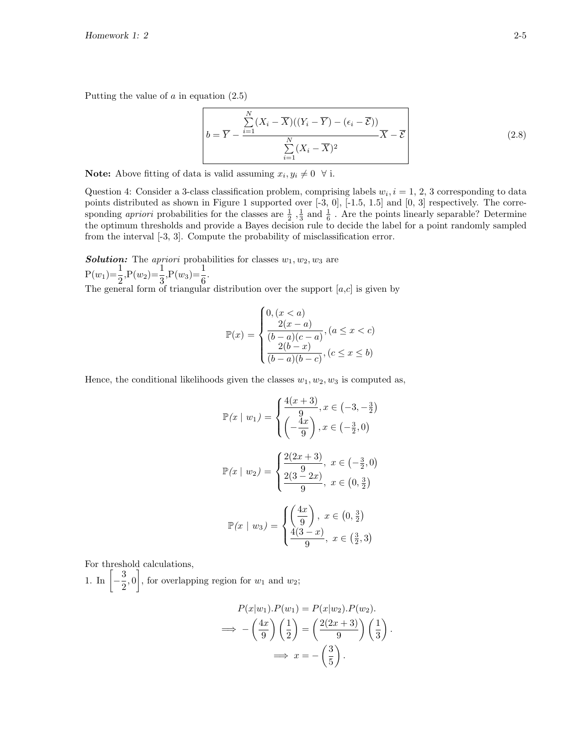Putting the value of  $a$  in equation  $(2.5)$ 

$$
b = \overline{Y} - \frac{\sum_{i=1}^{N} (X_i - \overline{X})((Y_i - \overline{Y}) - (\epsilon_i - \overline{\mathcal{E}}))}{\sum_{i=1}^{N} (X_i - \overline{X})^2} \overline{X} - \overline{\mathcal{E}}
$$
\n(2.8)

**Note:** Above fitting of data is valid assuming  $x_i, y_i \neq 0 \ \forall$  i.

Question 4: Consider a 3-class classification problem, comprising labels  $w_i$ ,  $i = 1, 2, 3$  corresponding to data points distributed as shown in Figure 1 supported over [-3, 0], [-1.5, 1.5] and [0, 3] respectively. The corresponding *apriori* probabilities for the classes are  $\frac{1}{2}$ ,  $\frac{1}{3}$  and  $\frac{1}{6}$ . Are the points linearly separable? Determine the optimum thresholds and provide a Bayes decision rule to decide the label for a point randomly sampled from the interval [-3, 3]. Compute the probability of misclassification error.

**Solution:** The apriori probabilities for classes  $w_1, w_2, w_3$  are  $P(w_1)=\frac{1}{2}, P(w_2)=\frac{1}{3}, P(w_3)=\frac{1}{6}.$ The general form of triangular distribution over the support  $[a,c]$  is given by

$$
\mathbb{P}(x) = \begin{cases} 0, (x < a) \\ \frac{2(x - a)}{(b - a)(c - a)}, (a \le x < c) \\ \frac{2(b - x)}{(b - a)(b - c)}, (c \le x \le b) \end{cases}
$$

Hence, the conditional likelihoods given the classes  $w_1, w_2, w_3$  is computed as,

$$
\mathbb{P}(x \mid w_1) = \begin{cases} \frac{4(x+3)}{9}, x \in (-3, -\frac{3}{2}) \\ \left(-\frac{4x}{9}\right), x \in \left(-\frac{3}{2}, 0\right) \end{cases}
$$

$$
\mathbb{P}(x \mid w_2) = \begin{cases} \frac{2(2x+3)}{9}, x \in \left(-\frac{3}{2}, 0\right) \\ \frac{2(3-2x)}{9}, x \in \left(0, \frac{3}{2}\right) \end{cases}
$$

$$
\mathbb{P}(x \mid w_3) = \begin{cases} \left(\frac{4x}{9}\right), x \in \left(0, \frac{3}{2}\right) \\ \frac{4(3-x)}{9}, x \in \left(\frac{3}{2}, 3\right) \end{cases}
$$

For threshold calculations,

1. In  $\left[-\frac{3}{2}\right]$  $\left(\frac{3}{2},0\right)$ , for overlapping region for  $w_1$  and  $w_2$ ;

$$
P(x|w_1).P(w_1) = P(x|w_2).P(w_2).
$$
  
\n
$$
\implies -\left(\frac{4x}{9}\right)\left(\frac{1}{2}\right) = \left(\frac{2(2x+3)}{9}\right)\left(\frac{1}{3}\right).
$$
  
\n
$$
\implies x = -\left(\frac{3}{5}\right).
$$